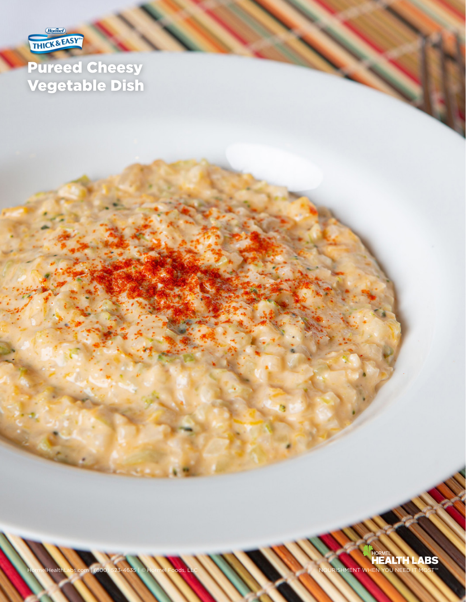

# Pureed Cheesy Vegetable Dish

HORMEL<br>HealthLabs.com | (800) 523-4635 | © Hormel Foods, LLC NOURISHMENT WHEN YOU NEED IT MOST™